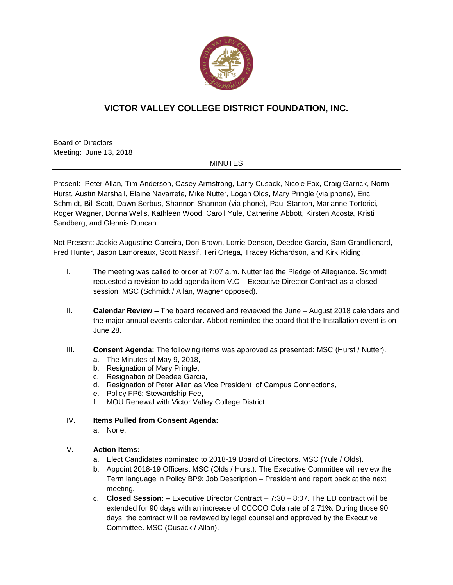

# **VICTOR VALLEY COLLEGE DISTRICT FOUNDATION, INC.**

Board of Directors Meeting: June 13, 2018

#### MINUTES

Present: Peter Allan, Tim Anderson, Casey Armstrong, Larry Cusack, Nicole Fox, Craig Garrick, Norm Hurst, Austin Marshall, Elaine Navarrete, Mike Nutter, Logan Olds, Mary Pringle (via phone), Eric Schmidt, Bill Scott, Dawn Serbus, Shannon Shannon (via phone), Paul Stanton, Marianne Tortorici, Roger Wagner, Donna Wells, Kathleen Wood, Caroll Yule, Catherine Abbott, Kirsten Acosta, Kristi Sandberg, and Glennis Duncan.

Not Present: Jackie Augustine-Carreira, Don Brown, Lorrie Denson, Deedee Garcia, Sam Grandlienard, Fred Hunter, Jason Lamoreaux, Scott Nassif, Teri Ortega, Tracey Richardson, and Kirk Riding.

- I. The meeting was called to order at 7:07 a.m. Nutter led the Pledge of Allegiance. Schmidt requested a revision to add agenda item V.C – Executive Director Contract as a closed session. MSC (Schmidt / Allan, Wagner opposed).
- II. **Calendar Review –** The board received and reviewed the June August 2018 calendars and the major annual events calendar. Abbott reminded the board that the Installation event is on June 28.
- III. **Consent Agenda:** The following items was approved as presented: MSC (Hurst / Nutter).
	- a. The Minutes of May 9, 2018,
	- b. Resignation of Mary Pringle,
	- c. Resignation of Deedee Garcia,
	- d. Resignation of Peter Allan as Vice President of Campus Connections,
	- e. Policy FP6: Stewardship Fee,
	- f. MOU Renewal with Victor Valley College District.

#### IV. **Items Pulled from Consent Agenda:**

a. None.

#### V. **Action Items:**

- a. Elect Candidates nominated to 2018-19 Board of Directors. MSC (Yule / Olds).
- b. Appoint 2018-19 Officers. MSC (Olds / Hurst). The Executive Committee will review the Term language in Policy BP9: Job Description – President and report back at the next meeting.
- c. **Closed Session: –** Executive Director Contract 7:30 8:07. The ED contract will be extended for 90 days with an increase of CCCCO Cola rate of 2.71%. During those 90 days, the contract will be reviewed by legal counsel and approved by the Executive Committee. MSC (Cusack / Allan).